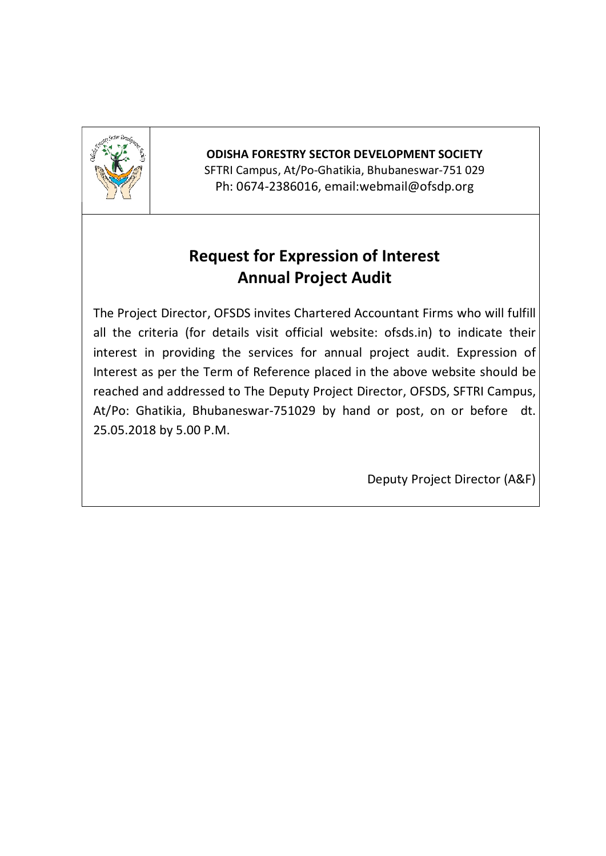

## ODISHA FORESTRY SECTOR DEVELOPMENT SOCIETY

SFTRI Campus, At/Po-Ghatikia, Bhubaneswar-751 029 Ph: 0674-2386016, email:webmail@ofsdp.org

# Request for Expression of Interest Annual Project Audit

The Project Director, OFSDS invites Chartered Accountant Firms who will fulfill all the criteria (for details visit official website: ofsds.in) to indicate their interest in providing the services for annual project audit. Expression of Interest as per the Term of Reference placed in the above website should be reached and addressed to The Deputy Project Director, OFSDS, SFTRI Campus, At/Po: Ghatikia, Bhubaneswar-751029 by hand or post, on or before dt. 25.05.2018 by 5.00 P.M.

Deputy Project Director (A&F)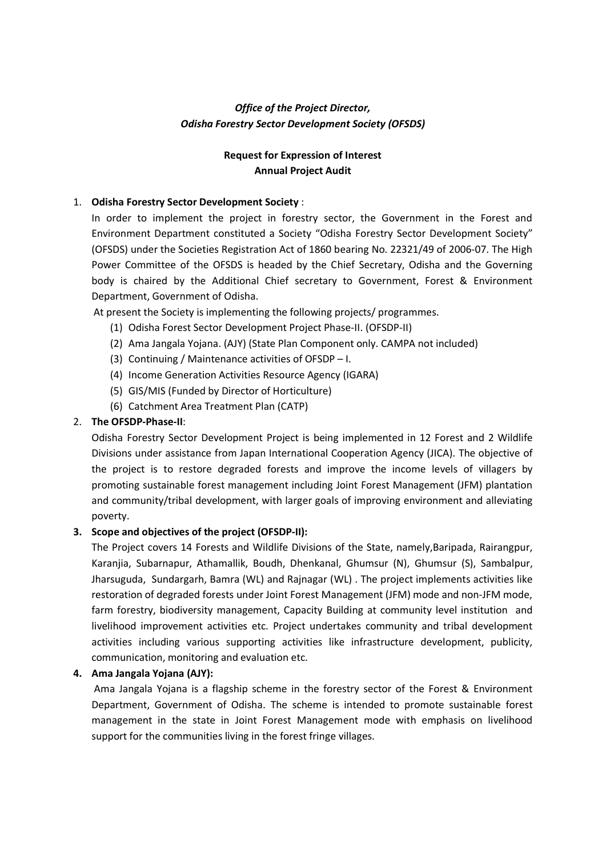## *Office of the Project Director, Odisha Forestry Sector Development Society (OFSDS)*

## Request for Expression of Interest Annual Project Audit

### 1. Odisha Forestry Sector Development Society :

In order to implement the project in forestry sector, the Government in the Forest and Environment Department constituted a Society "Odisha Forestry Sector Development Society" (OFSDS) under the Societies Registration Act of 1860 bearing No. 22321/49 of 2006-07. The High Power Committee of the OFSDS is headed by the Chief Secretary, Odisha and the Governing body is chaired by the Additional Chief secretary to Government, Forest & Environment Department, Government of Odisha.

At present the Society is implementing the following projects/ programmes.

- (1) Odisha Forest Sector Development Project Phase-II. (OFSDP-II)
- (2) Ama Jangala Yojana. (AJY) (State Plan Component only. CAMPA not included)
- (3) Continuing / Maintenance activities of OFSDP I.
- (4) Income Generation Activities Resource Agency (IGARA)
- (5) GIS/MIS (Funded by Director of Horticulture)
- (6) Catchment Area Treatment Plan (CATP)

### 2. The OFSDP-Phase-II:

Odisha Forestry Sector Development Project is being implemented in 12 Forest and 2 Wildlife Divisions under assistance from Japan International Cooperation Agency (JICA). The objective of the project is to restore degraded forests and improve the income levels of villagers by promoting sustainable forest management including Joint Forest Management (JFM) plantation and community/tribal development, with larger goals of improving environment and alleviating poverty.

#### 3. Scope and objectives of the project (OFSDP-II):

The Project covers 14 Forests and Wildlife Divisions of the State, namely,Baripada, Rairangpur, Karanjia, Subarnapur, Athamallik, Boudh, Dhenkanal, Ghumsur (N), Ghumsur (S), Sambalpur, Jharsuguda, Sundargarh, Bamra (WL) and Rajnagar (WL) . The project implements activities like restoration of degraded forests under Joint Forest Management (JFM) mode and non-JFM mode, farm forestry, biodiversity management, Capacity Building at community level institution and livelihood improvement activities etc. Project undertakes community and tribal development activities including various supporting activities like infrastructure development, publicity, communication, monitoring and evaluation etc.

#### 4. Ama Jangala Yojana (AJY):

Ama Jangala Yojana is a flagship scheme in the forestry sector of the Forest & Environment Department, Government of Odisha. The scheme is intended to promote sustainable forest management in the state in Joint Forest Management mode with emphasis on livelihood support for the communities living in the forest fringe villages.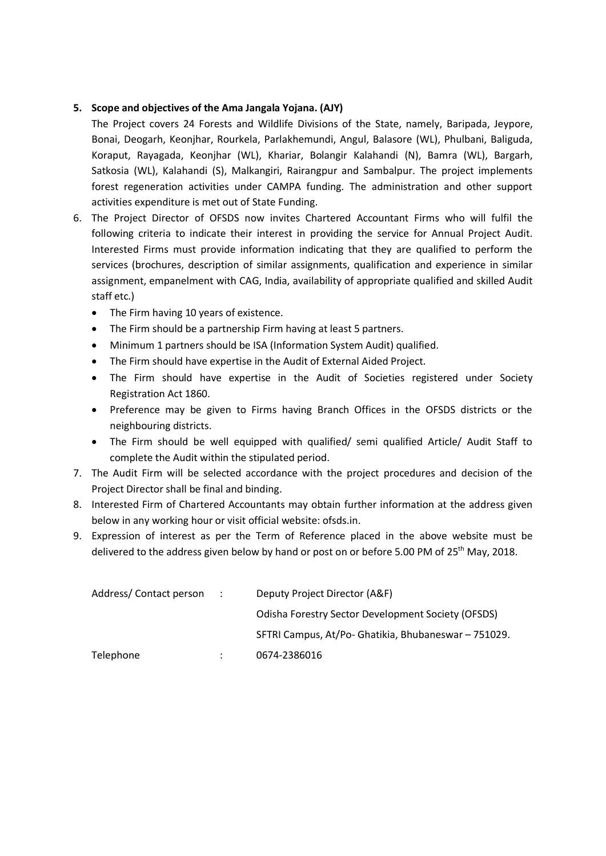### 5. Scope and objectives of the Ama Jangala Yojana. (AJY)

The Project covers 24 Forests and Wildlife Divisions of the State, namely, Baripada, Jeypore, Bonai, Deogarh, Keonjhar, Rourkela, Parlakhemundi, Angul, Balasore (WL), Phulbani, Baliguda, Koraput, Rayagada, Keonjhar (WL), Khariar, Bolangir Kalahandi (N), Bamra (WL), Bargarh, Satkosia (WL), Kalahandi (S), Malkangiri, Rairangpur and Sambalpur. The project implements forest regeneration activities under CAMPA funding. The administration and other support activities expenditure is met out of State Funding.

- 6. The Project Director of OFSDS now invites Chartered Accountant Firms who will fulfil the following criteria to indicate their interest in providing the service for Annual Project Audit. Interested Firms must provide information indicating that they are qualified to perform the services (brochures, description of similar assignments, qualification and experience in similar assignment, empanelment with CAG, India, availability of appropriate qualified and skilled Audit staff etc.)
	- The Firm having 10 years of existence.
	- The Firm should be a partnership Firm having at least 5 partners.
	- Minimum 1 partners should be ISA (Information System Audit) qualified.
	- The Firm should have expertise in the Audit of External Aided Project.
	- The Firm should have expertise in the Audit of Societies registered under Society Registration Act 1860.
	- Preference may be given to Firms having Branch Offices in the OFSDS districts or the neighbouring districts.
	- The Firm should be well equipped with qualified/ semi qualified Article/ Audit Staff to complete the Audit within the stipulated period.
- 7. The Audit Firm will be selected accordance with the project procedures and decision of the Project Director shall be final and binding.
- 8. Interested Firm of Chartered Accountants may obtain further information at the address given below in any working hour or visit official website: ofsds.in.
- 9. Expression of interest as per the Term of Reference placed in the above website must be delivered to the address given below by hand or post on or before 5.00 PM of 25<sup>th</sup> May, 2018.

| Address/Contact person | $\sim$ 100 | Deputy Project Director (A&F)                        |
|------------------------|------------|------------------------------------------------------|
|                        |            | Odisha Forestry Sector Development Society (OFSDS)   |
|                        |            | SFTRI Campus, At/Po- Ghatikia, Bhubaneswar - 751029. |
| Telephone              |            | 0674-2386016                                         |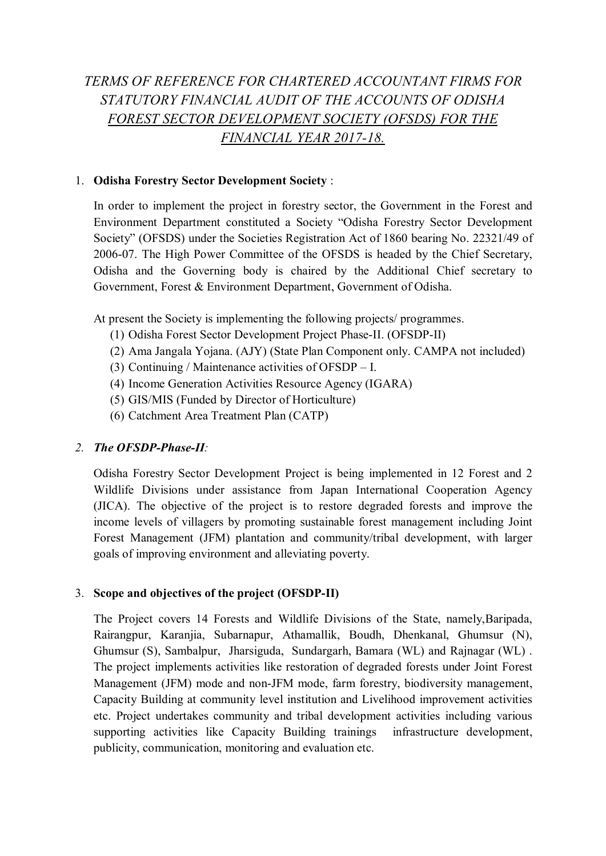## *TERMS OF REFERENCE FOR CHARTERED ACCOUNTANT FIRMS FOR STATUTORY FINANCIAL AUDIT OF THE ACCOUNTS OF ODISHA FOREST SECTOR DEVELOPMENT SOCIETY (OFSDS) FOR THE FINANCIAL YEAR 2017-18.*

## 1. Odisha Forestry Sector Development Society :

In order to implement the project in forestry sector, the Government in the Forest and Environment Department constituted a Society "Odisha Forestry Sector Development Society" (OFSDS) under the Societies Registration Act of 1860 bearing No. 22321/49 of 2006-07. The High Power Committee of the OFSDS is headed by the Chief Secretary, Odisha and the Governing body is chaired by the Additional Chief secretary to Government, Forest & Environment Department, Government of Odisha.

At present the Society is implementing the following projects/ programmes.

- (1) Odisha Forest Sector Development Project Phase-II. (OFSDP-II)
- (2) Ama Jangala Yojana. (AJY) (State Plan Component only. CAMPA not included)
- (3) Continuing / Maintenance activities of OFSDP I.
- (4) Income Generation Activities Resource Agency (IGARA)
- (5) GIS/MIS (Funded by Director of Horticulture)
- (6) Catchment Area Treatment Plan (CATP)

## *2. The OFSDP-Phase-II:*

Odisha Forestry Sector Development Project is being implemented in 12 Forest and 2 Wildlife Divisions under assistance from Japan International Cooperation Agency (JICA). The objective of the project is to restore degraded forests and improve the income levels of villagers by promoting sustainable forest management including Joint Forest Management (JFM) plantation and community/tribal development, with larger goals of improving environment and alleviating poverty.

## 3. Scope and objectives of the project (OFSDP-II)

The Project covers 14 Forests and Wildlife Divisions of the State, namely,Baripada, Rairangpur, Karanjia, Subarnapur, Athamallik, Boudh, Dhenkanal, Ghumsur (N), Ghumsur (S), Sambalpur, Jharsiguda, Sundargarh, Bamara (WL) and Rajnagar (WL) . The project implements activities like restoration of degraded forests under Joint Forest Management (JFM) mode and non-JFM mode, farm forestry, biodiversity management, Capacity Building at community level institution and Livelihood improvement activities etc. Project undertakes community and tribal development activities including various supporting activities like Capacity Building trainings infrastructure development, publicity, communication, monitoring and evaluation etc.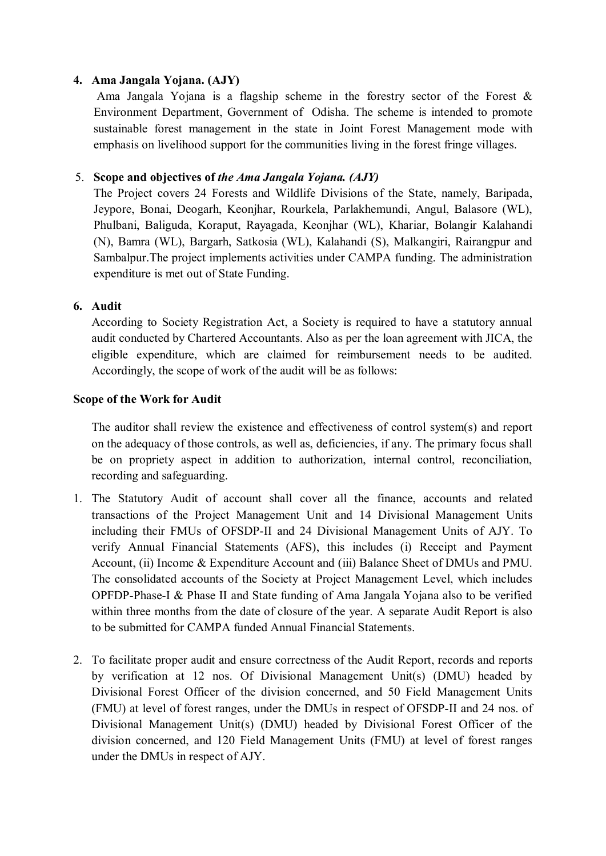## 4. Ama Jangala Yojana. (AJY)

Ama Jangala Yojana is a flagship scheme in the forestry sector of the Forest & Environment Department, Government of Odisha. The scheme is intended to promote sustainable forest management in the state in Joint Forest Management mode with emphasis on livelihood support for the communities living in the forest fringe villages.

## 5. Scope and objectives of *the Ama Jangala Yojana. (AJY)*

The Project covers 24 Forests and Wildlife Divisions of the State, namely, Baripada, Jeypore, Bonai, Deogarh, Keonjhar, Rourkela, Parlakhemundi, Angul, Balasore (WL), Phulbani, Baliguda, Koraput, Rayagada, Keonjhar (WL), Khariar, Bolangir Kalahandi (N), Bamra (WL), Bargarh, Satkosia (WL), Kalahandi (S), Malkangiri, Rairangpur and Sambalpur.The project implements activities under CAMPA funding. The administration expenditure is met out of State Funding.

## 6. Audit

According to Society Registration Act, a Society is required to have a statutory annual audit conducted by Chartered Accountants. Also as per the loan agreement with JICA, the eligible expenditure, which are claimed for reimbursement needs to be audited. Accordingly, the scope of work of the audit will be as follows:

### Scope of the Work for Audit

The auditor shall review the existence and effectiveness of control system(s) and report on the adequacy of those controls, as well as, deficiencies, if any. The primary focus shall be on propriety aspect in addition to authorization, internal control, reconciliation, recording and safeguarding.

- 1. The Statutory Audit of account shall cover all the finance, accounts and related transactions of the Project Management Unit and 14 Divisional Management Units including their FMUs of OFSDP-II and 24 Divisional Management Units of AJY. To verify Annual Financial Statements (AFS), this includes (i) Receipt and Payment Account, (ii) Income & Expenditure Account and (iii) Balance Sheet of DMUs and PMU. The consolidated accounts of the Society at Project Management Level, which includes OPFDP-Phase-I & Phase II and State funding of Ama Jangala Yojana also to be verified within three months from the date of closure of the year. A separate Audit Report is also to be submitted for CAMPA funded Annual Financial Statements.
- 2. To facilitate proper audit and ensure correctness of the Audit Report, records and reports by verification at 12 nos. Of Divisional Management Unit(s) (DMU) headed by Divisional Forest Officer of the division concerned, and 50 Field Management Units (FMU) at level of forest ranges, under the DMUs in respect of OFSDP-II and 24 nos. of Divisional Management Unit(s) (DMU) headed by Divisional Forest Officer of the division concerned, and 120 Field Management Units (FMU) at level of forest ranges under the DMUs in respect of AJY.